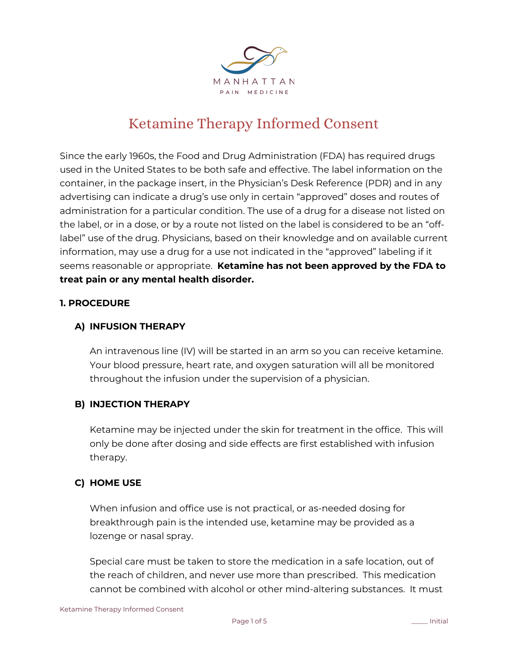

# Ketamine Therapy Informed Consent

Since the early 1960s, the Food and Drug Administration (FDA) has required drugs used in the United States to be both safe and effective. The label information on the container, in the package insert, in the Physician's Desk Reference (PDR) and in any advertising can indicate a drug's use only in certain "approved" doses and routes of administration for a particular condition. The use of a drug for a disease not listed on the label, or in a dose, or by a route not listed on the label is considered to be an "offlabel" use of the drug. Physicians, based on their knowledge and on available current information, may use a drug for a use not indicated in the "approved" labeling if it seems reasonable or appropriate. **Ketamine has not been approved by the FDA to treat pain or any mental health disorder.**

# **1. PROCEDURE**

# **A) INFUSION THERAPY**

An intravenous line (IV) will be started in an arm so you can receive ketamine. Your blood pressure, heart rate, and oxygen saturation will all be monitored throughout the infusion under the supervision of a physician.

# **B) INJECTION THERAPY**

Ketamine may be injected under the skin for treatment in the office. This will only be done after dosing and side effects are first established with infusion therapy.

# **C) HOME USE**

When infusion and office use is not practical, or as-needed dosing for breakthrough pain is the intended use, ketamine may be provided as a lozenge or nasal spray.

Special care must be taken to store the medication in a safe location, out of the reach of children, and never use more than prescribed. This medication cannot be combined with alcohol or other mind-altering substances. It must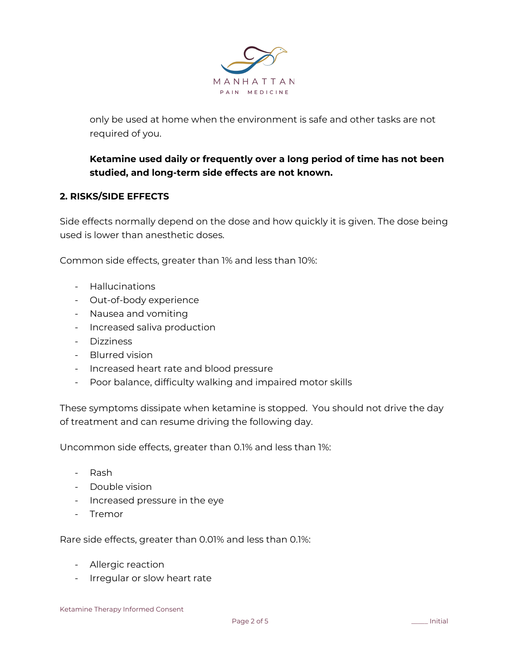

only be used at home when the environment is safe and other tasks are not required of you.

# **Ketamine used daily or frequently over a long period of time has not been studied, and long-term side effects are not known.**

# **2. RISKS/SIDE EFFECTS**

Side effects normally depend on the dose and how quickly it is given. The dose being used is lower than anesthetic doses.

Common side effects, greater than 1% and less than 10%:

- Hallucinations
- Out-of-body experience
- Nausea and vomiting
- Increased saliva production
- Dizziness
- Blurred vision
- Increased heart rate and blood pressure
- Poor balance, difficulty walking and impaired motor skills

These symptoms dissipate when ketamine is stopped. You should not drive the day of treatment and can resume driving the following day.

Uncommon side effects, greater than 0.1% and less than 1%:

- Rash
- Double vision
- Increased pressure in the eye
- Tremor

Rare side effects, greater than 0.01% and less than 0.1%:

- Allergic reaction
- Irregular or slow heart rate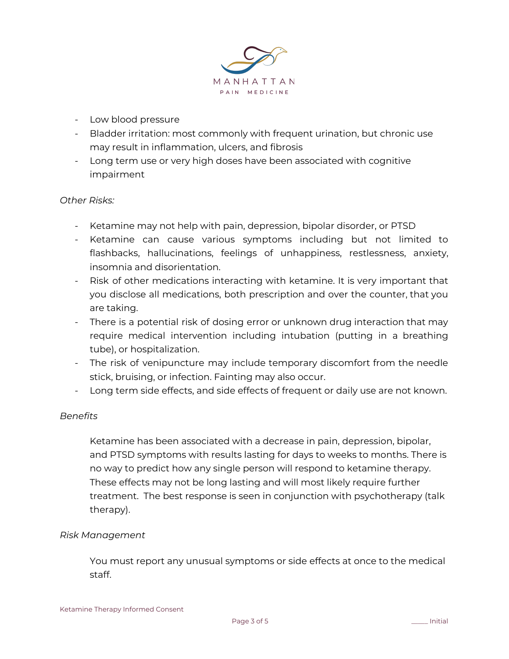

- Low blood pressure
- Bladder irritation: most commonly with frequent urination, but chronic use may result in inflammation, ulcers, and fibrosis
- Long term use or very high doses have been associated with cognitive impairment

#### *Other Risks:*

- Ketamine may not help with pain, depression, bipolar disorder, or PTSD
- Ketamine can cause various symptoms including but not limited to flashbacks, hallucinations, feelings of unhappiness, restlessness, anxiety, insomnia and disorientation.
- Risk of other medications interacting with ketamine. It is very important that you disclose all medications, both prescription and over the counter, that you are taking.
- There is a potential risk of dosing error or unknown drug interaction that may require medical intervention including intubation (putting in a breathing tube), or hospitalization.
- The risk of venipuncture may include temporary discomfort from the needle stick, bruising, or infection. Fainting may also occur.
- Long term side effects, and side effects of frequent or daily use are not known.

# *Benefits*

Ketamine has been associated with a decrease in pain, depression, bipolar, and PTSD symptoms with results lasting for days to weeks to months. There is no way to predict how any single person will respond to ketamine therapy. These effects may not be long lasting and will most likely require further treatment. The best response is seen in conjunction with psychotherapy (talk therapy).

#### *Risk Management*

You must report any unusual symptoms or side effects at once to the medical staff.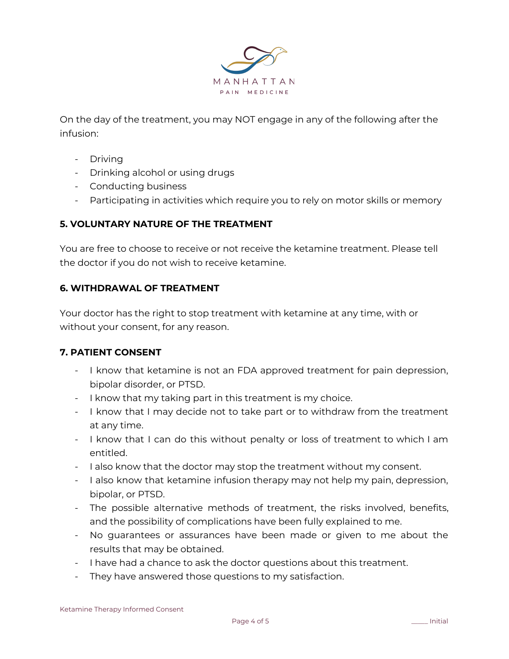

On the day of the treatment, you may NOT engage in any of the following after the infusion:

- Driving
- Drinking alcohol or using drugs
- Conducting business
- Participating in activities which require you to rely on motor skills or memory

# **5. VOLUNTARY NATURE OF THE TREATMENT**

You are free to choose to receive or not receive the ketamine treatment. Please tell the doctor if you do not wish to receive ketamine.

# **6. WITHDRAWAL OF TREATMENT**

Your doctor has the right to stop treatment with ketamine at any time, with or without your consent, for any reason.

# **7. PATIENT CONSENT**

- I know that ketamine is not an FDA approved treatment for pain depression, bipolar disorder, or PTSD.
- I know that my taking part in this treatment is my choice.
- I know that I may decide not to take part or to withdraw from the treatment at any time.
- I know that I can do this without penalty or loss of treatment to which I am entitled.
- I also know that the doctor may stop the treatment without my consent.
- I also know that ketamine infusion therapy may not help my pain, depression, bipolar, or PTSD.
- The possible alternative methods of treatment, the risks involved, benefits, and the possibility of complications have been fully explained to me.
- No guarantees or assurances have been made or given to me about the results that may be obtained.
- I have had a chance to ask the doctor questions about this treatment.
- They have answered those questions to my satisfaction.